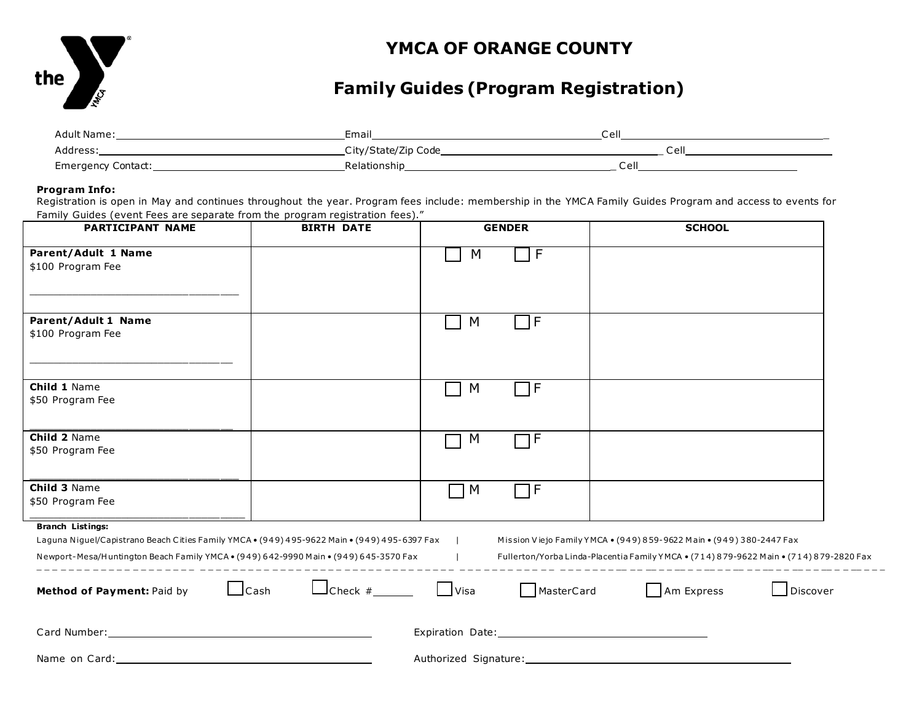

## **YMCA OF ORANGE COUNTY**

# **Family Guides (Program Registration)**

| Adult Name:        | Email               | Cell      |
|--------------------|---------------------|-----------|
| Address.           | City/State/Zip Code | Cell      |
| Emergency Contact: | Relationship        | 'ام<br>ັັ |

#### **Program Info:**

Registration is open in May and continues throughout the year. Program fees include: membership in the YMCA Family Guides Program and access to events for Family Guides (event Fees are separate from the program registration fees)."

| PARTICIPANT NAME                                                                                                                                                                                                                                                                                                                                                                        | <b>BIRTH DATE</b>                    |             | <b>GENDER</b> | <b>SCHOOL</b>                                                                                                                                                                                                                  |          |  |
|-----------------------------------------------------------------------------------------------------------------------------------------------------------------------------------------------------------------------------------------------------------------------------------------------------------------------------------------------------------------------------------------|--------------------------------------|-------------|---------------|--------------------------------------------------------------------------------------------------------------------------------------------------------------------------------------------------------------------------------|----------|--|
| Parent/Adult 1 Name<br>\$100 Program Fee                                                                                                                                                                                                                                                                                                                                                |                                      | M           | $\mathsf{F}$  |                                                                                                                                                                                                                                |          |  |
| <b>Parent/Adult 1 Name</b><br>\$100 Program Fee                                                                                                                                                                                                                                                                                                                                         |                                      | M           | ∏F.           |                                                                                                                                                                                                                                |          |  |
| Child 1 Name<br>\$50 Program Fee                                                                                                                                                                                                                                                                                                                                                        |                                      | M           | ПF            |                                                                                                                                                                                                                                |          |  |
| Child 2 Name<br>\$50 Program Fee                                                                                                                                                                                                                                                                                                                                                        |                                      | M           | ٦F            |                                                                                                                                                                                                                                |          |  |
| Child 3 Name<br>\$50 Program Fee                                                                                                                                                                                                                                                                                                                                                        |                                      | M           | $\sqcap$ F    |                                                                                                                                                                                                                                |          |  |
| <b>Branch Listings:</b>                                                                                                                                                                                                                                                                                                                                                                 |                                      |             |               |                                                                                                                                                                                                                                |          |  |
| Laguna Niguel/Capistrano Beach Cities Family YMCA . (949) 495-9622 Main . (949) 495-6397 Fax<br>Mission Viejo Family YMCA • (949) 859-9622 Main • (949) 380-2447 Fax<br><b>Contract</b><br>Newport-Mesa/Huntington Beach Family YMCA . (949) 642-9990 Main . (949) 645-3570 Fax<br>Fullerton/Yorba Linda-Placentia Family YMCA . (714) 879-9622 Main . (714) 879-2820 Fax<br>$\sim$ 1.1 |                                      |             |               |                                                                                                                                                                                                                                |          |  |
| Method of Payment: Paid by                                                                                                                                                                                                                                                                                                                                                              | $\Box$ Check # $\Box$<br>$\Box$ Cash | $\Box$ Visa | MasterCard    | Am Express                                                                                                                                                                                                                     | Discover |  |
|                                                                                                                                                                                                                                                                                                                                                                                         |                                      |             |               |                                                                                                                                                                                                                                |          |  |
| Name on Card: Name on Card:                                                                                                                                                                                                                                                                                                                                                             |                                      |             |               | Authorized Signature: Management of the Contract of the Contract of the Contract of the Contract of the Contract of the Contract of the Contract of the Contract of the Contract of the Contract of the Contract of the Contra |          |  |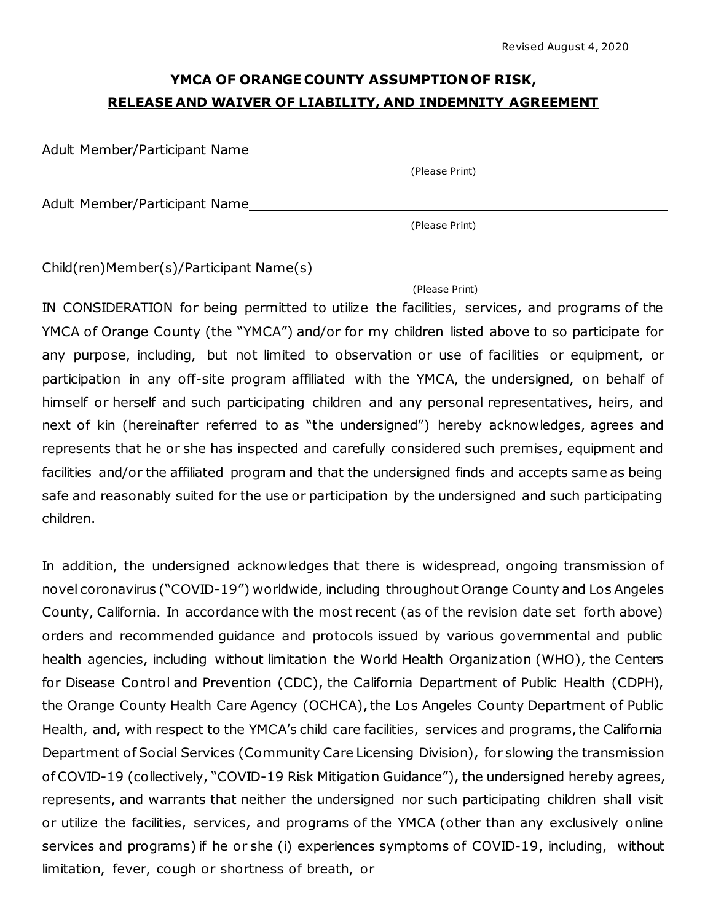## **YMCA OF ORANGE COUNTY ASSUMPTION OF RISK, RELEASE AND WAIVER OF LIABILITY, AND INDEMNITY AGREEMENT**

Adult Member/Participant Name

(Please Print)

Adult Member/Participant Name

(Please Print)

Child(ren)Member(s)/Participant Name(s)

(Please Print)

IN CONSIDERATION for being permitted to utilize the facilities, services, and programs of the YMCA of Orange County (the "YMCA") and/or for my children listed above to so participate for any purpose, including, but not limited to observation or use of facilities or equipment, or participation in any off-site program affiliated with the YMCA, the undersigned, on behalf of himself or herself and such participating children and any personal representatives, heirs, and next of kin (hereinafter referred to as "the undersigned") hereby acknowledges, agrees and represents that he or she has inspected and carefully considered such premises, equipment and facilities and/or the affiliated program and that the undersigned finds and accepts same as being safe and reasonably suited for the use or participation by the undersigned and such participating children.

In addition, the undersigned acknowledges that there is widespread, ongoing transmission of novel coronavirus ("COVID-19") worldwide, including throughout Orange County and Los Angeles County, California. In accordance with the most recent (as of the revision date set forth above) orders and recommended guidance and protocols issued by various governmental and public health agencies, including without limitation the World Health Organization (WHO), the Centers for Disease Control and Prevention (CDC), the California Department of Public Health (CDPH), the Orange County Health Care Agency (OCHCA), the Los Angeles County Department of Public Health, and, with respect to the YMCA's child care facilities, services and programs, the California Department of Social Services (Community Care Licensing Division), for slowing the transmission of COVID-19 (collectively, "COVID-19 Risk Mitigation Guidance"), the undersigned hereby agrees, represents, and warrants that neither the undersigned nor such participating children shall visit or utilize the facilities, services, and programs of the YMCA (other than any exclusively online services and programs) if he or she (i) experiences symptoms of COVID-19, including, without limitation, fever, cough or shortness of breath, or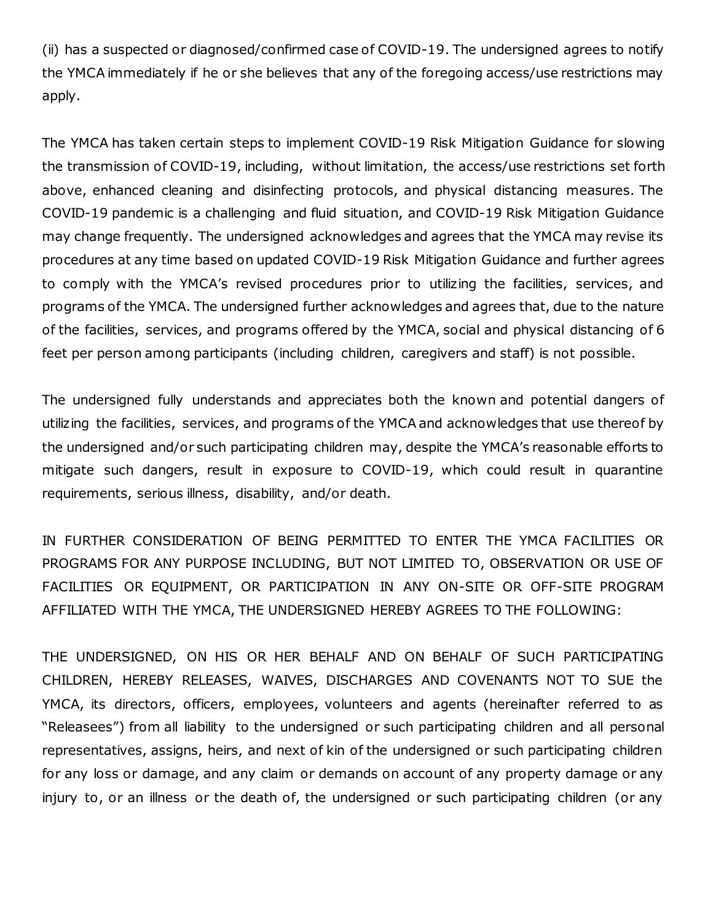(ii) has a suspected or diagnosed/confirmed case of COVID-19. The undersigned agrees to notify the YMCA immediately if he or she believes that any of the foregoing access/use restrictions may apply.

The YMCA has taken certain steps to implement COVID-19 Risk Mitigation Guidance for slowing the transmission of COVID-19, including, without limitation, the access/use restrictions set forth above, enhanced cleaning and disinfecting protocols, and physical distancing measures. The COVID-19 pandemic is a challenging and fluid situation, and COVID-19 Risk Mitigation Guidance may change frequently. The undersigned acknowledges and agrees that the YMCA may revise its procedures at any time based on updated COVID-19 Risk Mitigation Guidance and further agrees to comply with the YMCA's revised procedures prior to utilizing the facilities, services, and programs of the YMCA. The undersigned further acknowledges and agrees that, due to the nature of the facilities, services, and programs offered by the YMCA, social and physical distancing of 6 feet per person among participants (including children, caregivers and staff) is not possible.

The undersigned fully understands and appreciates both the known and potential dangers of utilizing the facilities, services, and programs of the YMCA and acknowledges that use thereof by the undersigned and/or such participating children may, despite the YMCA's reasonable efforts to mitigate such dangers, result in exposure to COVID-19, which could result in quarantine requirements, serious illness, disability, and/or death.

IN FURTHER CONSIDERATION OF BEING PERMITTED TO ENTER THE YMCA FACILITIES OR PROGRAMS FOR ANY PURPOSE INCLUDING, BUT NOT LIMITED TO, OBSERVATION OR USE OF FACILITIES OR EQUIPMENT, OR PARTICIPATION IN ANY ON-SITE OR OFF-SITE PROGRAM AFFILIATED WITH THE YMCA, THE UNDERSIGNED HEREBY AGREES TO THE FOLLOWING:

THE UNDERSIGNED, ON HIS OR HER BEHALF AND ON BEHALF OF SUCH PARTICIPATING CHILDREN, HEREBY RELEASES, WAIVES, DISCHARGES AND COVENANTS NOT TO SUE the YMCA, its directors, officers, employees, volunteers and agents (hereinafter referred to as "Releasees") from all liability to the undersigned or such participating children and all personal representatives, assigns, heirs, and next of kin of the undersigned or such participating children for any loss or damage, and any claim or demands on account of any property damage or any injury to, or an illness or the death of, the undersigned or such participating children (or any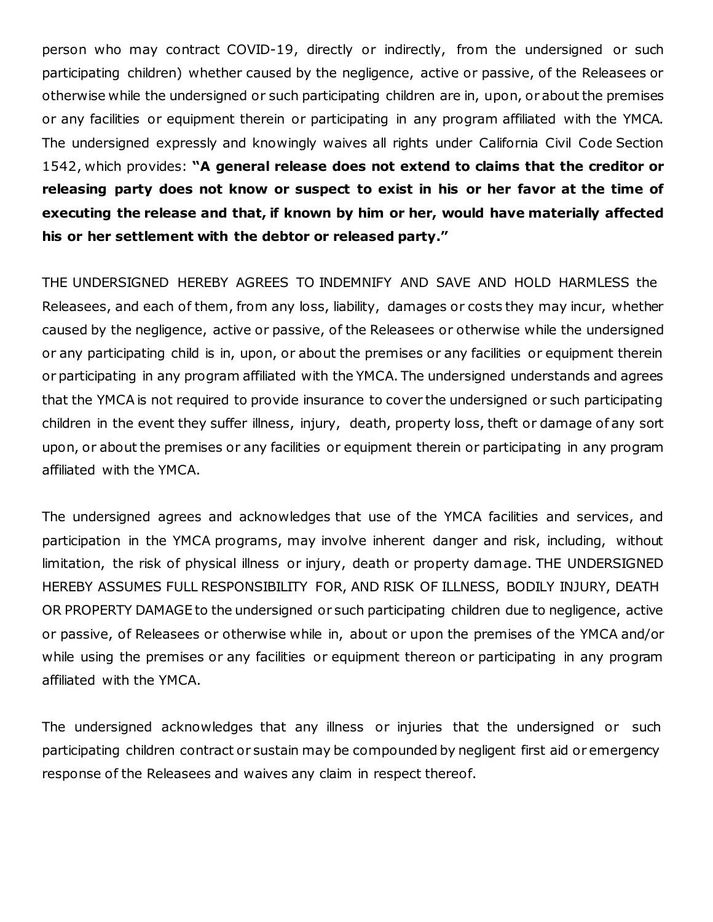person who may contract COVID-19, directly or indirectly, from the undersigned or such participating children) whether caused by the negligence, active or passive, of the Releasees or otherwise while the undersigned or such participating children are in, upon, or about the premises or any facilities or equipment therein or participating in any program affiliated with the YMCA. The undersigned expressly and knowingly waives all rights under California Civil Code Section 1542, which provides: **"A general release does not extend to claims that the creditor or releasing party does not know or suspect to exist in his or her favor at the time of executing the release and that, if known by him or her, would have materially affected his or her settlement with the debtor or released party."**

THE UNDERSIGNED HEREBY AGREES TO INDEMNIFY AND SAVE AND HOLD HARMLESS the Releasees, and each of them, from any loss, liability, damages or costs they may incur, whether caused by the negligence, active or passive, of the Releasees or otherwise while the undersigned or any participating child is in, upon, or about the premises or any facilities or equipment therein or participating in any program affiliated with the YMCA. The undersigned understands and agrees that the YMCA is not required to provide insurance to cover the undersigned or such participating children in the event they suffer illness, injury, death, property loss, theft or damage of any sort upon, or about the premises or any facilities or equipment therein or participating in any program affiliated with the YMCA.

The undersigned agrees and acknowledges that use of the YMCA facilities and services, and participation in the YMCA programs, may involve inherent danger and risk, including, without limitation, the risk of physical illness or injury, death or property damage. THE UNDERSIGNED HEREBY ASSUMES FULL RESPONSIBILITY FOR, AND RISK OF ILLNESS, BODILY INJURY, DEATH OR PROPERTY DAMAGE to the undersigned or such participating children due to negligence, active or passive, of Releasees or otherwise while in, about or upon the premises of the YMCA and/or while using the premises or any facilities or equipment thereon or participating in any program affiliated with the YMCA.

The undersigned acknowledges that any illness or injuries that the undersigned or such participating children contract or sustain may be compounded by negligent first aid or emergency response of the Releasees and waives any claim in respect thereof.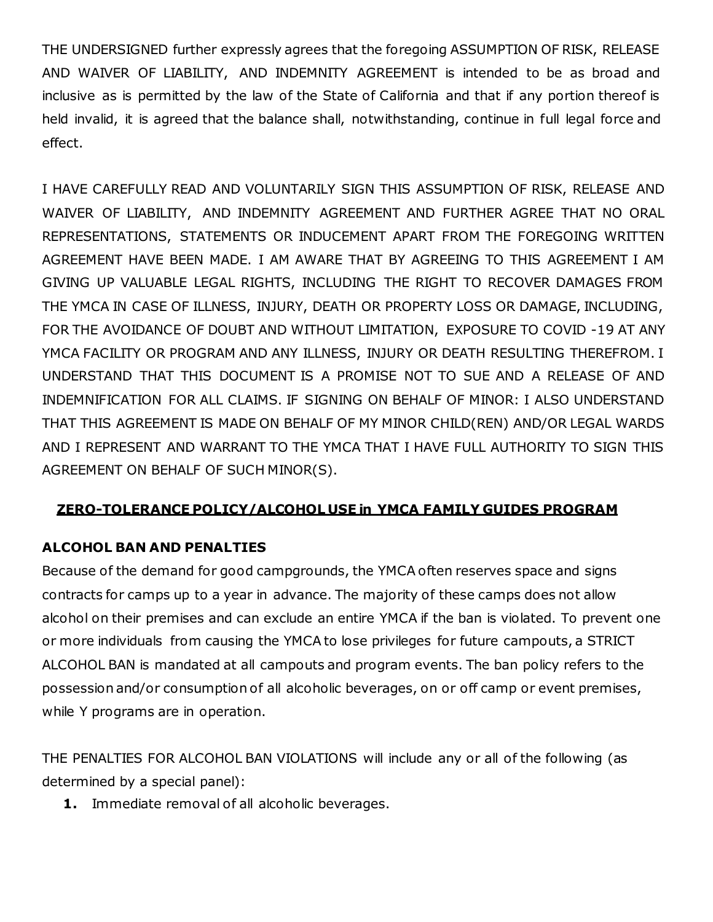THE UNDERSIGNED further expressly agrees that the foregoing ASSUMPTION OF RISK, RELEASE AND WAIVER OF LIABILITY, AND INDEMNITY AGREEMENT is intended to be as broad and inclusive as is permitted by the law of the State of California and that if any portion thereof is held invalid, it is agreed that the balance shall, notwithstanding, continue in full legal force and effect.

I HAVE CAREFULLY READ AND VOLUNTARILY SIGN THIS ASSUMPTION OF RISK, RELEASE AND WAIVER OF LIABILITY, AND INDEMNITY AGREEMENT AND FURTHER AGREE THAT NO ORAL REPRESENTATIONS, STATEMENTS OR INDUCEMENT APART FROM THE FOREGOING WRITTEN AGREEMENT HAVE BEEN MADE. I AM AWARE THAT BY AGREEING TO THIS AGREEMENT I AM GIVING UP VALUABLE LEGAL RIGHTS, INCLUDING THE RIGHT TO RECOVER DAMAGES FROM THE YMCA IN CASE OF ILLNESS, INJURY, DEATH OR PROPERTY LOSS OR DAMAGE, INCLUDING, FOR THE AVOIDANCE OF DOUBT AND WITHOUT LIMITATION, EXPOSURE TO COVID -19 AT ANY YMCA FACILITY OR PROGRAM AND ANY ILLNESS, INJURY OR DEATH RESULTING THEREFROM. I UNDERSTAND THAT THIS DOCUMENT IS A PROMISE NOT TO SUE AND A RELEASE OF AND INDEMNIFICATION FOR ALL CLAIMS. IF SIGNING ON BEHALF OF MINOR: I ALSO UNDERSTAND THAT THIS AGREEMENT IS MADE ON BEHALF OF MY MINOR CHILD(REN) AND/OR LEGAL WARDS AND I REPRESENT AND WARRANT TO THE YMCA THAT I HAVE FULL AUTHORITY TO SIGN THIS AGREEMENT ON BEHALF OF SUCH MINOR(S).

#### **ZERO-TOLERANCE POLICY/ALCOHOL USE in YMCA FAMILY GUIDES PROGRAM**

#### **ALCOHOL BAN AND PENALTIES**

Because of the demand for good campgrounds, the YMCA often reserves space and signs contracts for camps up to a year in advance. The majority of these camps does not allow alcohol on their premises and can exclude an entire YMCA if the ban is violated. To prevent one or more individuals from causing the YMCA to lose privileges for future campouts, a STRICT ALCOHOL BAN is mandated at all campouts and program events. The ban policy refers to the possession and/or consumption of all alcoholic beverages, on or off camp or event premises, while Y programs are in operation.

THE PENALTIES FOR ALCOHOL BAN VIOLATIONS will include any or all of the following (as determined by a special panel):

**1.** Immediate removal of all alcoholic beverages.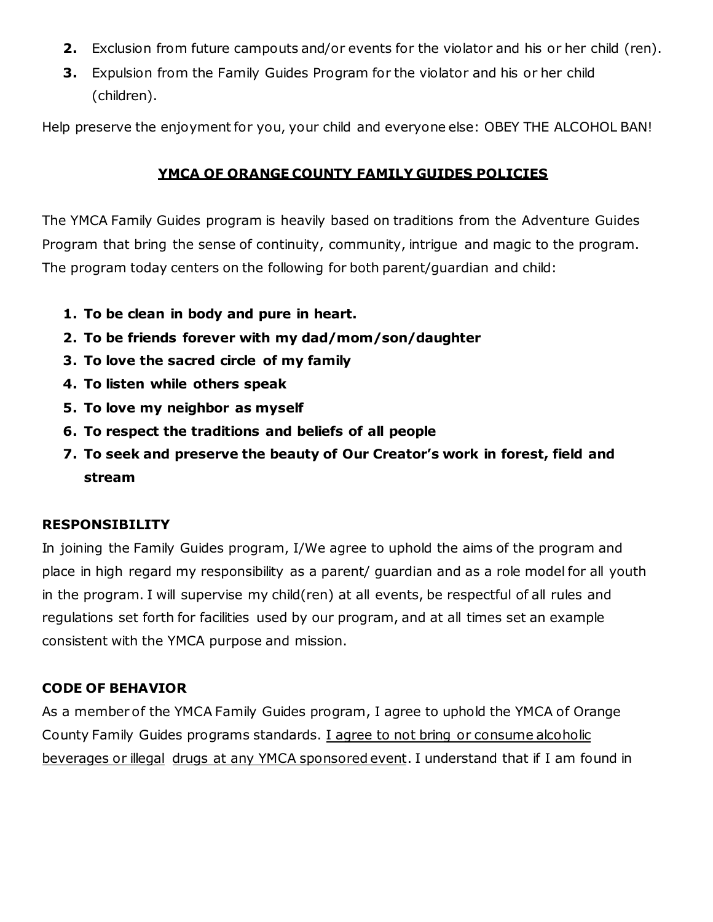- **2.** Exclusion from future campouts and/or events for the violator and his or her child (ren).
- **3.** Expulsion from the Family Guides Program for the violator and his or her child (children).

Help preserve the enjoyment for you, your child and everyone else: OBEY THE ALCOHOL BAN!

#### **YMCA OF ORANGE COUNTY FAMILY GUIDES POLICIES**

The YMCA Family Guides program is heavily based on traditions from the Adventure Guides Program that bring the sense of continuity, community, intrigue and magic to the program. The program today centers on the following for both parent/guardian and child:

- **1. To be clean in body and pure in heart.**
- **2. To be friends forever with my dad/mom/son/daughter**
- **3. To love the sacred circle of my family**
- **4. To listen while others speak**
- **5. To love my neighbor as myself**
- **6. To respect the traditions and beliefs of all people**
- **7. To seek and preserve the beauty of Our Creator's work in forest, field and stream**

#### **RESPONSIBILITY**

In joining the Family Guides program, I/We agree to uphold the aims of the program and place in high regard my responsibility as a parent/ guardian and as a role model for all youth in the program. I will supervise my child(ren) at all events, be respectful of all rules and regulations set forth for facilities used by our program, and at all times set an example consistent with the YMCA purpose and mission.

#### **CODE OF BEHAVIOR**

As a member of the YMCA Family Guides program, I agree to uphold the YMCA of Orange County Family Guides programs standards. I agree to not bring or consume alcoholic beverages or illegal drugs at any YMCA sponsored event. I understand that if I am found in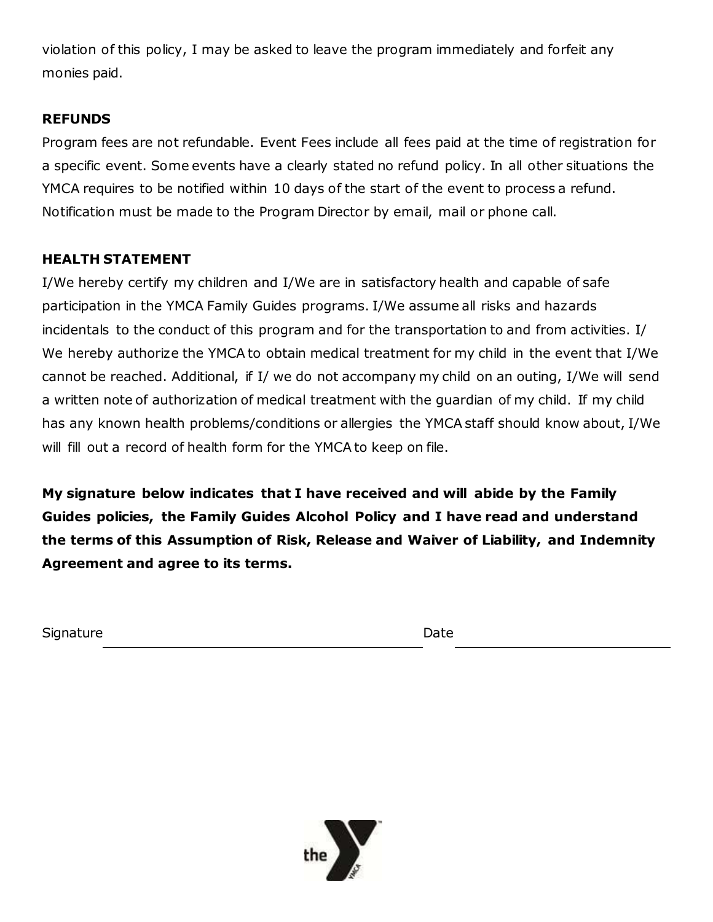violation of this policy, I may be asked to leave the program immediately and forfeit any monies paid.

### **REFUNDS**

Program fees are not refundable. Event Fees include all fees paid at the time of registration for a specific event. Some events have a clearly stated no refund policy. In all other situations the YMCA requires to be notified within 10 days of the start of the event to process a refund. Notification must be made to the Program Director by email, mail or phone call.

### **HEALTH STATEMENT**

I/We hereby certify my children and I/We are in satisfactory health and capable of safe participation in the YMCA Family Guides programs. I/We assume all risks and hazards incidentals to the conduct of this program and for the transportation to and from activities. I/ We hereby authorize the YMCA to obtain medical treatment for my child in the event that I/We cannot be reached. Additional, if I/ we do not accompany my child on an outing, I/We will send a written note of authorization of medical treatment with the guardian of my child. If my child has any known health problems/conditions or allergies the YMCA staff should know about, I/We will fill out a record of health form for the YMCA to keep on file.

**My signature below indicates that I have received and will abide by the Family Guides policies, the Family Guides Alcohol Policy and I have read and understand the terms of this Assumption of Risk, Release and Waiver of Liability, and Indemnity Agreement and agree to its terms.** 

Signature Date Date Date Date